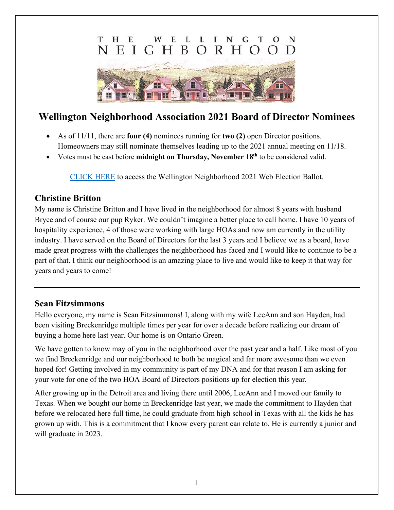#### E  $H$ E  $\mathbf{L}$  $\mathbf{L}$ N т Ι т G H B E  $\mathbf{T}$  $\Omega$ R H



# **Wellington Neighborhood Association 2021 Board of Director Nominees**

- As of 11/11, there are **four (4)** nominees running for **two (2)** open Director positions. Homeowners may still nominate themselves leading up to the 2021 annual meeting on 11/18.
- Votes must be cast before **midnight on Thursday, November 18th** to be considered valid.

[CLICK HERE](http://wellingtonneighborhood.org/2021_director_election_ballot) to access the Wellington Neighborhood 2021 Web Election Ballot.

## **Christine Britton**

My name is Christine Britton and I have lived in the neighborhood for almost 8 years with husband Bryce and of course our pup Ryker. We couldn't imagine a better place to call home. I have 10 years of hospitality experience, 4 of those were working with large HOAs and now am currently in the utility industry. I have served on the Board of Directors for the last 3 years and I believe we as a board, have made great progress with the challenges the neighborhood has faced and I would like to continue to be a part of that. I think our neighborhood is an amazing place to live and would like to keep it that way for years and years to come!

### **Sean Fitzsimmons**

Hello everyone, my name is Sean Fitzsimmons! I, along with my wife LeeAnn and son Hayden, had been visiting Breckenridge multiple times per year for over a decade before realizing our dream of buying a home here last year. Our home is on Ontario Green.

We have gotten to know may of you in the neighborhood over the past year and a half. Like most of you we find Breckenridge and our neighborhood to both be magical and far more awesome than we even hoped for! Getting involved in my community is part of my DNA and for that reason I am asking for your vote for one of the two HOA Board of Directors positions up for election this year.

After growing up in the Detroit area and living there until 2006, LeeAnn and I moved our family to Texas. When we bought our home in Breckenridge last year, we made the commitment to Hayden that before we relocated here full time, he could graduate from high school in Texas with all the kids he has grown up with. This is a commitment that I know every parent can relate to. He is currently a junior and will graduate in 2023.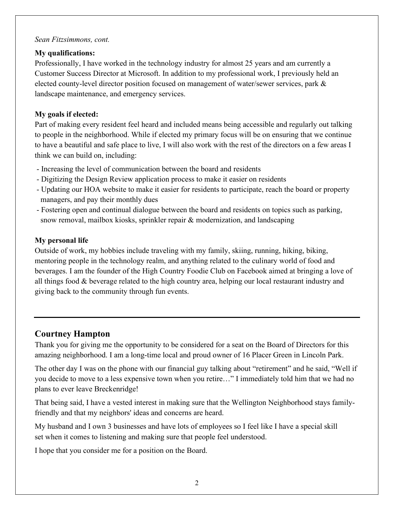#### *Sean Fitzsimmons, cont.*

#### **My qualifications:**

Professionally, I have worked in the technology industry for almost 25 years and am currently a Customer Success Director at Microsoft. In addition to my professional work, I previously held an elected county-level director position focused on management of water/sewer services, park & landscape maintenance, and emergency services.

#### **My goals if elected:**

Part of making every resident feel heard and included means being accessible and regularly out talking to people in the neighborhood. While if elected my primary focus will be on ensuring that we continue to have a beautiful and safe place to live, I will also work with the rest of the directors on a few areas I think we can build on, including:

- Increasing the level of communication between the board and residents
- Digitizing the Design Review application process to make it easier on residents
- Updating our HOA website to make it easier for residents to participate, reach the board or property managers, and pay their monthly dues
- Fostering open and continual dialogue between the board and residents on topics such as parking, snow removal, mailbox kiosks, sprinkler repair & modernization, and landscaping

#### **My personal life**

Outside of work, my hobbies include traveling with my family, skiing, running, hiking, biking, mentoring people in the technology realm, and anything related to the culinary world of food and beverages. I am the founder of the High Country Foodie Club on Facebook aimed at bringing a love of all things food & beverage related to the high country area, helping our local restaurant industry and giving back to the community through fun events.

## **Courtney Hampton**

Thank you for giving me the opportunity to be considered for a seat on the Board of Directors for this amazing neighborhood. I am a long-time local and proud owner of 16 Placer Green in Lincoln Park.

The other day I was on the phone with our financial guy talking about "retirement" and he said, "Well if you decide to move to a less expensive town when you retire…" I immediately told him that we had no plans to ever leave Breckenridge!

That being said, I have a vested interest in making sure that the Wellington Neighborhood stays familyfriendly and that my neighbors' ideas and concerns are heard.

My husband and I own 3 businesses and have lots of employees so I feel like I have a special skill set when it comes to listening and making sure that people feel understood.

I hope that you consider me for a position on the Board.